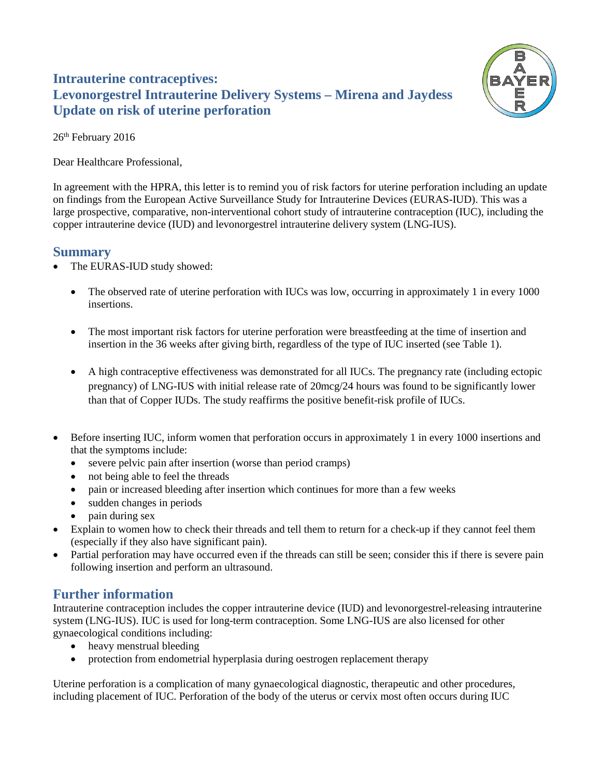# **Intrauterine contraceptives: Levonorgestrel Intrauterine Delivery Systems – Mirena and Jaydess Update on risk of uterine perforation**



26<sup>th</sup> February 2016

Dear Healthcare Professional,

In agreement with the HPRA, this letter is to remind you of risk factors for uterine perforation including an update on findings from the European Active Surveillance Study for Intrauterine Devices (EURAS-IUD). This was a large prospective, comparative, non-interventional cohort study of intrauterine contraception (IUC), including the copper intrauterine device (IUD) and levonorgestrel intrauterine delivery system (LNG-IUS).

### **Summary**

- The EURAS-IUD study showed:
	- The observed rate of uterine perforation with IUCs was low, occurring in approximately 1 in every 1000 insertions.
	- The most important risk factors for uterine perforation were breastfeeding at the time of insertion and insertion in the 36 weeks after giving birth, regardless of the type of IUC inserted (see Table 1).
	- A high contraceptive effectiveness was demonstrated for all IUCs. The pregnancy rate (including ectopic pregnancy) of LNG-IUS with initial release rate of 20mcg/24 hours was found to be significantly lower than that of Copper IUDs. The study reaffirms the positive benefit-risk profile of IUCs.
- Before inserting IUC, inform women that perforation occurs in approximately 1 in every 1000 insertions and that the symptoms include:
	- severe pelvic pain after insertion (worse than period cramps)
	- not being able to feel the threads
	- pain or increased bleeding after insertion which continues for more than a few weeks
	- sudden changes in periods
	- pain during sex
- Explain to women how to check their threads and tell them to return for a check-up if they cannot feel them (especially if they also have significant pain).
- Partial perforation may have occurred even if the threads can still be seen; consider this if there is severe pain following insertion and perform an ultrasound.

## **Further information**

Intrauterine contraception includes the copper intrauterine device (IUD) and levonorgestrel-releasing intrauterine system (LNG-IUS). IUC is used for long-term contraception. Some LNG-IUS are also licensed for other gynaecological conditions including:

- heavy menstrual bleeding
- protection from endometrial hyperplasia during oestrogen replacement therapy

Uterine perforation is a complication of many gynaecological diagnostic, therapeutic and other procedures, including placement of IUC. Perforation of the body of the uterus or cervix most often occurs during IUC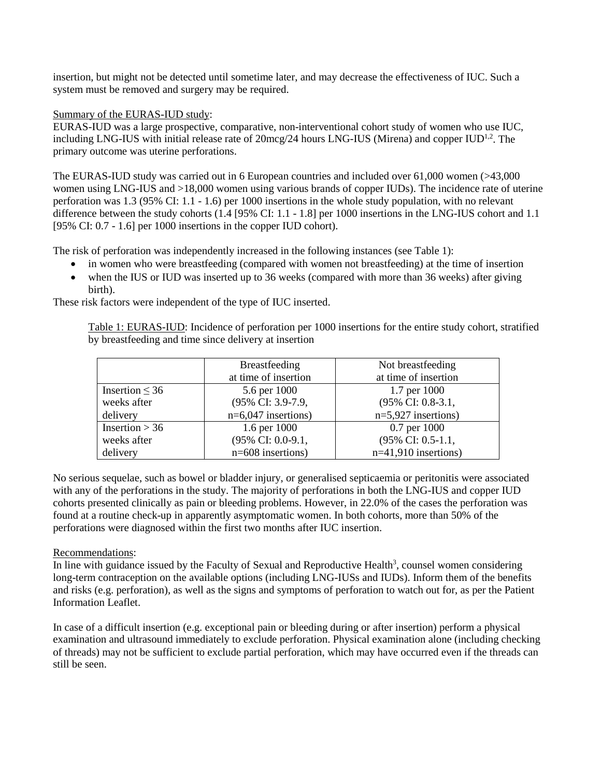insertion, but might not be detected until sometime later, and may decrease the effectiveness of IUC. Such a system must be removed and surgery may be required.

#### Summary of the EURAS-IUD study:

EURAS-IUD was a large prospective, comparative, non-interventional cohort study of women who use IUC, including LNG-IUS with initial release rate of 20mcg/24 hours LNG-IUS (Mirena) and copper IUD<sup>1,2</sup>. The primary outcome was uterine perforations.

The EURAS-IUD study was carried out in 6 European countries and included over 61,000 women (>43,000 women using LNG-IUS and  $>18,000$  women using various brands of copper IUDs). The incidence rate of uterine perforation was 1.3 (95% CI: 1.1 - 1.6) per 1000 insertions in the whole study population, with no relevant difference between the study cohorts (1.4 [95% CI: 1.1 - 1.8] per 1000 insertions in the LNG-IUS cohort and 1.1 [95% CI: 0.7 - 1.6] per 1000 insertions in the copper IUD cohort).

The risk of perforation was independently increased in the following instances (see Table 1):

- in women who were breastfeeding (compared with women not breastfeeding) at the time of insertion
- when the IUS or IUD was inserted up to 36 weeks (compared with more than 36 weeks) after giving birth).

These risk factors were independent of the type of IUC inserted.

Table 1: EURAS-IUD: Incidence of perforation per 1000 insertions for the entire study cohort, stratified by breastfeeding and time since delivery at insertion

|                     | <b>Breastfeeding</b>  | Not breastfeeding      |
|---------------------|-----------------------|------------------------|
|                     | at time of insertion  | at time of insertion   |
| Insertion $\leq$ 36 | 5.6 per 1000          | 1.7 per 1000           |
| weeks after         | (95% CI: 3.9-7.9,     | (95% CI: 0.8-3.1,      |
| delivery            | $n=6,047$ insertions) | $n=5,927$ insertions)  |
| Insertion $> 36$    | 1.6 per 1000          | 0.7 per 1000           |
| weeks after         | (95% CI: 0.0-9.1,     | (95% CI: 0.5-1.1,      |
| delivery            | $n=608$ insertions)   | $n=41,910$ insertions) |

No serious sequelae, such as bowel or bladder injury, or generalised septicaemia or peritonitis were associated with any of the perforations in the study. The majority of perforations in both the LNG-IUS and copper IUD cohorts presented clinically as pain or bleeding problems. However, in 22.0% of the cases the perforation was found at a routine check-up in apparently asymptomatic women. In both cohorts, more than 50% of the perforations were diagnosed within the first two months after IUC insertion.

#### Recommendations:

In line with guidance issued by the Faculty of Sexual and Reproductive Health<sup>3</sup>, counsel women considering long-term contraception on the available options (including LNG-IUSs and IUDs). Inform them of the benefits and risks (e.g. perforation), as well as the signs and symptoms of perforation to watch out for, as per the Patient Information Leaflet.

In case of a difficult insertion (e.g. exceptional pain or bleeding during or after insertion) perform a physical examination and ultrasound immediately to exclude perforation. Physical examination alone (including checking of threads) may not be sufficient to exclude partial perforation, which may have occurred even if the threads can still be seen.